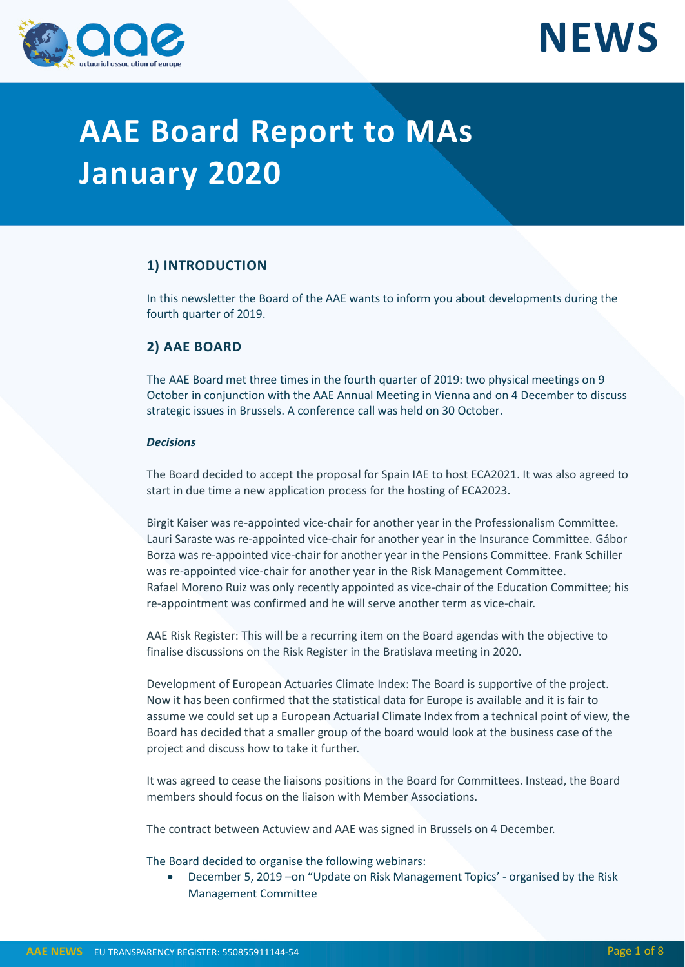



# **AAE Board Report to MAs January 2020**

# **1) INTRODUCTION**

In this newsletter the Board of the AAE wants to inform you about developments during the fourth quarter of 2019.

# **2) AAE BOARD**

The AAE Board met three times in the fourth quarter of 2019: two physical meetings on 9 October in conjunction with the AAE Annual Meeting in Vienna and on 4 December to discuss strategic issues in Brussels. A conference call was held on 30 October.

#### *Decisions*

The Board decided to accept the proposal for Spain IAE to host ECA2021. It was also agreed to start in due time a new application process for the hosting of ECA2023.

Birgit Kaiser was re-appointed vice-chair for another year in the Professionalism Committee. Lauri Saraste was re-appointed vice-chair for another year in the Insurance Committee. Gábor Borza was re-appointed vice-chair for another year in the Pensions Committee. Frank Schiller was re-appointed vice-chair for another year in the Risk Management Committee. Rafael Moreno Ruiz was only recently appointed as vice-chair of the Education Committee; his re-appointment was confirmed and he will serve another term as vice-chair.

AAE Risk Register: This will be a recurring item on the Board agendas with the objective to finalise discussions on the Risk Register in the Bratislava meeting in 2020.

Development of European Actuaries Climate Index: The Board is supportive of the project. Now it has been confirmed that the statistical data for Europe is available and it is fair to assume we could set up a European Actuarial Climate Index from a technical point of view, the Board has decided that a smaller group of the board would look at the business case of the project and discuss how to take it further.

It was agreed to cease the liaisons positions in the Board for Committees. Instead, the Board members should focus on the liaison with Member Associations.

The contract between Actuview and AAE was signed in Brussels on 4 December.

The Board decided to organise the following webinars:

• December 5, 2019 –on "Update on Risk Management Topics' - organised by the Risk Management Committee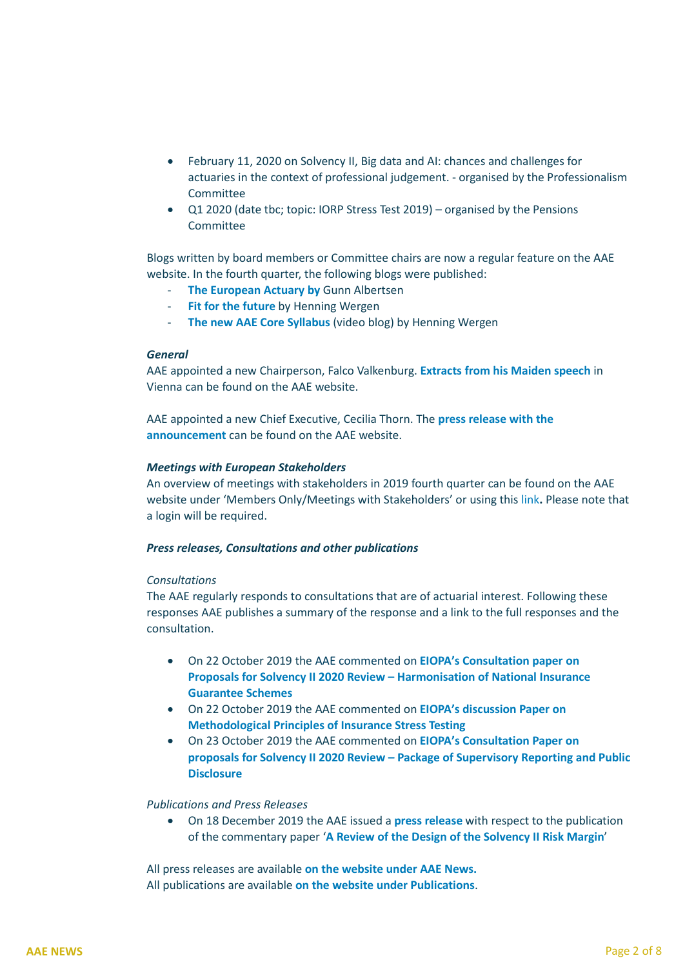- February 11, 2020 on Solvency II, Big data and AI: chances and challenges for actuaries in the context of professional judgement. - organised by the Professionalism Committee
- Q1 2020 (date tbc; topic: IORP Stress Test 2019) organised by the Pensions Committee

Blogs written by board members or Committee chairs are now a regular feature on the AAE website. In the fourth quarter, the following blogs were published:

- [The European Actuary by](https://actuary.eu/the-european-actuary/) Gunn Albertsen
- **[Fit for the future](https://actuary.eu/fit-for-the-future/)** by Henning Wergen
- **[The new AAE Core Syllabus](https://www.youtube.com/watch?v=QkjtuEcQbzc&feature=youtu.be)** (video blog) by Henning Wergen

#### *General*

AAE appointed a new Chairperson, Falco Valkenburg. **[Extracts from his Maiden speech](https://actuary.eu/wp-content/uploads/2019/11/Maiden-Speech-Falco-Valkenburg-11-10-2019-public-FINAL.pdf)** in Vienna can be found on the AAE website.

AAE appointed a new Chief Executive, Cecilia Thorn. The **[press release with the](https://actuary.eu/wp-content/uploads/2019/10/AAE-PR-new-CE-FINAL.pdf)  [announcement](https://actuary.eu/wp-content/uploads/2019/10/AAE-PR-new-CE-FINAL.pdf)** can be found on the AAE website.

#### *Meetings with European Stakeholders*

An overview of meetings with stakeholders in 2019 fourth quarter can be found on the AAE website under 'Members Only/Meetings with Stakeholders' or using this [link](https://actuary.eu/community/meetings-stakeholders/)**.** Please note that a login will be required.

#### *Press releases, Consultations and other publications*

#### *Consultations*

The AAE regularly responds to consultations that are of actuarial interest. Following these responses AAE publishes a summary of the response and a link to the full responses and the consultation.

- On 22 October 2019 the AAE commented on **[EIOPA's Consultation paper on](https://actuary.eu/aae-comments-on-eiopas-cp-proposals-for-solvencyii-igs/)  [Proposals for Solvency II 2020 Review –](https://actuary.eu/aae-comments-on-eiopas-cp-proposals-for-solvencyii-igs/) Harmonisation of National Insurance [Guarantee Schemes](https://actuary.eu/aae-comments-on-eiopas-cp-proposals-for-solvencyii-igs/)**
- On 22 October 2019 the AAE commented on **[EIOPA's discussion Paper on](https://actuary.eu/aae-comments-on-eiopas-dp-methodological-principles-stress-testing/)  [Methodological Principles of Insurance Stress Testing](https://actuary.eu/aae-comments-on-eiopas-dp-methodological-principles-stress-testing/)**
- On 23 October 2019 the AAE commented on **[EIOPA's Consultation Paper on](https://actuary.eu/aae-comments-on-eiopas-consultation-paper-on-proposals-for-solvency-ii-2020-review-package-on-supervisory-reporting-and-public-disclosure/)  proposals for Solvency II 2020 Review – [Package of Supervisory Reporting and Public](https://actuary.eu/aae-comments-on-eiopas-consultation-paper-on-proposals-for-solvency-ii-2020-review-package-on-supervisory-reporting-and-public-disclosure/) [Disclosure](https://actuary.eu/aae-comments-on-eiopas-consultation-paper-on-proposals-for-solvency-ii-2020-review-package-on-supervisory-reporting-and-public-disclosure/)**

#### *Publications and Press Releases*

• On 18 December 2019 the AAE issued a **[press release](https://actuary.eu/wp-content/uploads/2019/12/AAE-PR-Risk-Margin-paper-2019-FINAL.pdf)** with respect to the publication of the commentary paper '**[A Review of the Design of the Solvency II Risk Margin](https://actuary.eu/aae-publishes-commentary-paper-review-of-the-design-of-the-solvency-ii-risk-margin/)**'

All press releases are available **[on the website under AAE News.](https://actuary.eu/news-events/aae-news/)** All publications are available **[on the website under Publications](https://actuary.eu/publications/positions-discussion-papers/)**.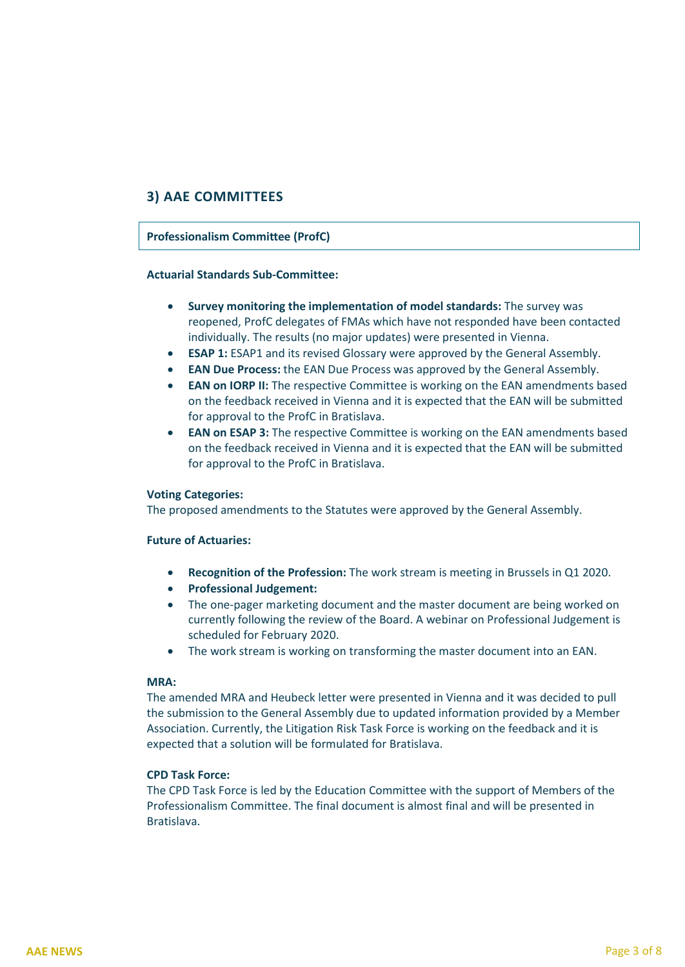# **3) AAE COMMITTEES**

# **Professionalism Committee (ProfC)**

#### **Actuarial Standards Sub-Committee:**

- **Survey monitoring the implementation of model standards:** The survey was reopened, ProfC delegates of FMAs which have not responded have been contacted individually. The results (no major updates) were presented in Vienna.
- **ESAP 1:** ESAP1 and its revised Glossary were approved by the General Assembly.
- **EAN Due Process:** the EAN Due Process was approved by the General Assembly.
- **EAN on IORP II:** The respective Committee is working on the EAN amendments based on the feedback received in Vienna and it is expected that the EAN will be submitted for approval to the ProfC in Bratislava.
- **EAN on ESAP 3:** The respective Committee is working on the EAN amendments based on the feedback received in Vienna and it is expected that the EAN will be submitted for approval to the ProfC in Bratislava.

#### **Voting Categories:**

The proposed amendments to the Statutes were approved by the General Assembly.

#### **Future of Actuaries:**

- **Recognition of the Profession:** The work stream is meeting in Brussels in Q1 2020.
- **Professional Judgement:**
- The one-pager marketing document and the master document are being worked on currently following the review of the Board. A webinar on Professional Judgement is scheduled for February 2020.
- The work stream is working on transforming the master document into an EAN.

#### **MRA:**

The amended MRA and Heubeck letter were presented in Vienna and it was decided to pull the submission to the General Assembly due to updated information provided by a Member Association. Currently, the Litigation Risk Task Force is working on the feedback and it is expected that a solution will be formulated for Bratislava.

#### **CPD Task Force:**

The CPD Task Force is led by the Education Committee with the support of Members of the Professionalism Committee. The final document is almost final and will be presented in Bratislava.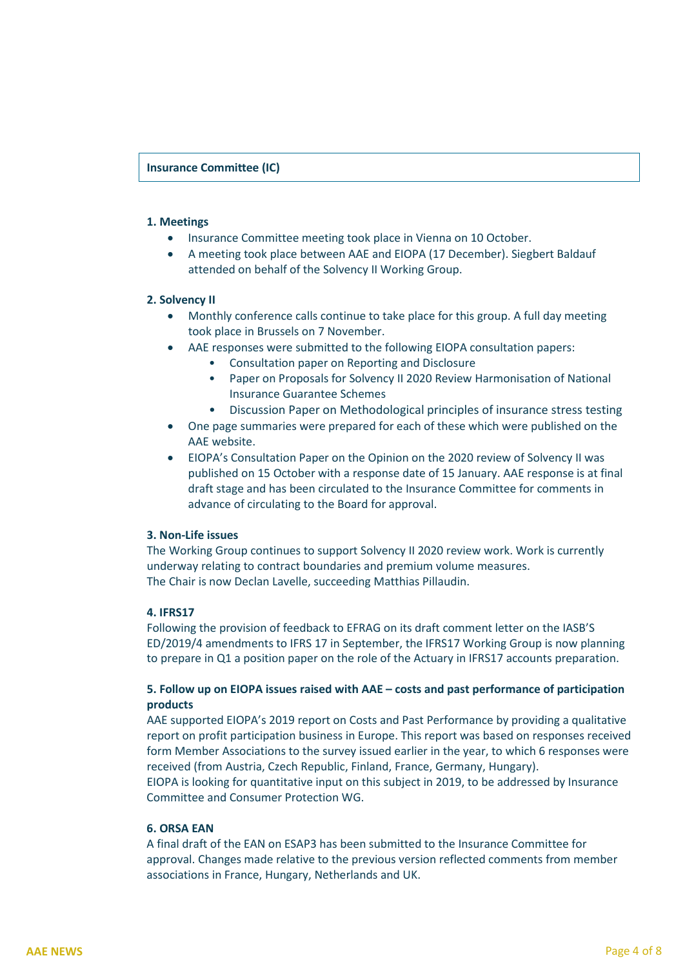#### **1. Meetings**

- Insurance Committee meeting took place in Vienna on 10 October.
- A meeting took place between AAE and EIOPA (17 December). Siegbert Baldauf attended on behalf of the Solvency II Working Group.

#### **2. Solvency II**

- Monthly conference calls continue to take place for this group. A full day meeting took place in Brussels on 7 November.
- AAE responses were submitted to the following EIOPA consultation papers:
	- Consultation paper on Reporting and Disclosure
	- Paper on Proposals for Solvency II 2020 Review Harmonisation of National Insurance Guarantee Schemes
	- Discussion Paper on Methodological principles of insurance stress testing
- One page summaries were prepared for each of these which were published on the AAE website.
- EIOPA's Consultation Paper on the Opinion on the 2020 review of Solvency II was published on 15 October with a response date of 15 January. AAE response is at final draft stage and has been circulated to the Insurance Committee for comments in advance of circulating to the Board for approval.

#### **3. Non-Life issues**

The Working Group continues to support Solvency II 2020 review work. Work is currently underway relating to contract boundaries and premium volume measures. The Chair is now Declan Lavelle, succeeding Matthias Pillaudin.

#### **4. IFRS17**

Following the provision of feedback to EFRAG on its draft comment letter on the IASB'S ED/2019/4 amendments to IFRS 17 in September, the IFRS17 Working Group is now planning to prepare in Q1 a position paper on the role of the Actuary in IFRS17 accounts preparation.

# **5. Follow up on EIOPA issues raised with AAE – costs and past performance of participation products**

AAE supported EIOPA's 2019 report on Costs and Past Performance by providing a qualitative report on profit participation business in Europe. This report was based on responses received form Member Associations to the survey issued earlier in the year, to which 6 responses were received (from Austria, Czech Republic, Finland, France, Germany, Hungary). EIOPA is looking for quantitative input on this subject in 2019, to be addressed by Insurance

Committee and Consumer Protection WG.

#### **6. ORSA EAN**

A final draft of the EAN on ESAP3 has been submitted to the Insurance Committee for approval. Changes made relative to the previous version reflected comments from member associations in France, Hungary, Netherlands and UK.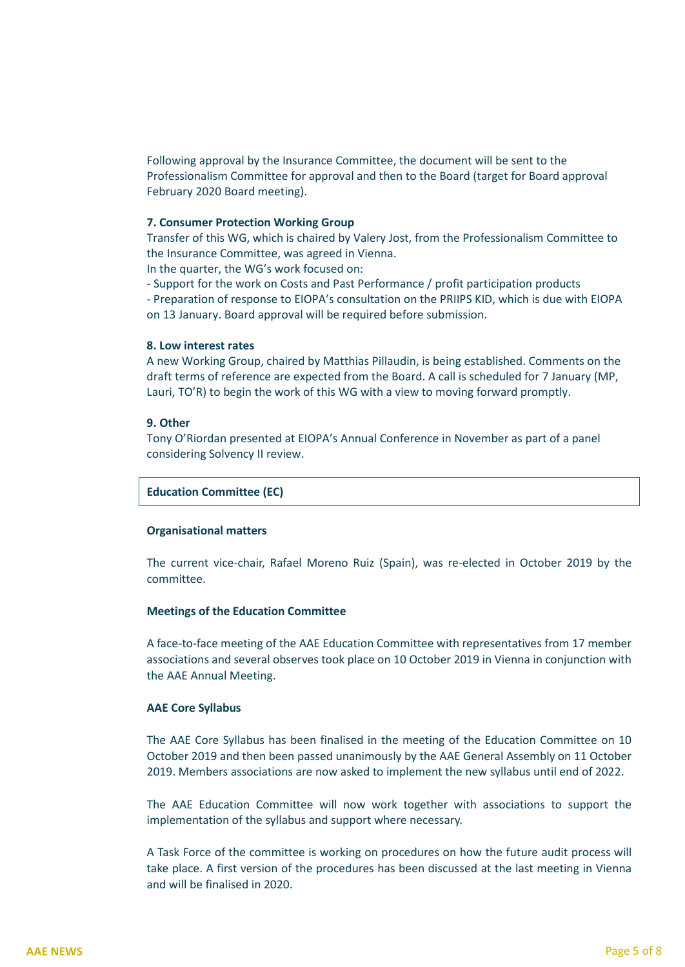Following approval by the Insurance Committee, the document will be sent to the Professionalism Committee for approval and then to the Board (target for Board approval February 2020 Board meeting).

#### **7. Consumer Protection Working Group**

Transfer of this WG, which is chaired by Valery Jost, from the Professionalism Committee to the Insurance Committee, was agreed in Vienna.

In the quarter, the WG's work focused on:

- Support for the work on Costs and Past Performance / profit participation products - Preparation of response to EIOPA's consultation on the PRIIPS KID, which is due with EIOPA

on 13 January. Board approval will be required before submission.

#### **8. Low interest rates**

A new Working Group, chaired by Matthias Pillaudin, is being established. Comments on the draft terms of reference are expected from the Board. A call is scheduled for 7 January (MP, Lauri, TO'R) to begin the work of this WG with a view to moving forward promptly.

#### **9. Other**

Tony O'Riordan presented at EIOPA's Annual Conference in November as part of a panel considering Solvency II review.

#### **Education Committee (EC)**

#### **Organisational matters**

The current vice-chair, Rafael Moreno Ruiz (Spain), was re-elected in October 2019 by the committee.

#### **Meetings of the Education Committee**

A face-to-face meeting of the AAE Education Committee with representatives from 17 member associations and several observes took place on 10 October 2019 in Vienna in conjunction with the AAE Annual Meeting.

#### **AAE Core Syllabus**

The AAE Core Syllabus has been finalised in the meeting of the Education Committee on 10 October 2019 and then been passed unanimously by the AAE General Assembly on 11 October 2019. Members associations are now asked to implement the new syllabus until end of 2022.

The AAE Education Committee will now work together with associations to support the implementation of the syllabus and support where necessary.

A Task Force of the committee is working on procedures on how the future audit process will take place. A first version of the procedures has been discussed at the last meeting in Vienna and will be finalised in 2020.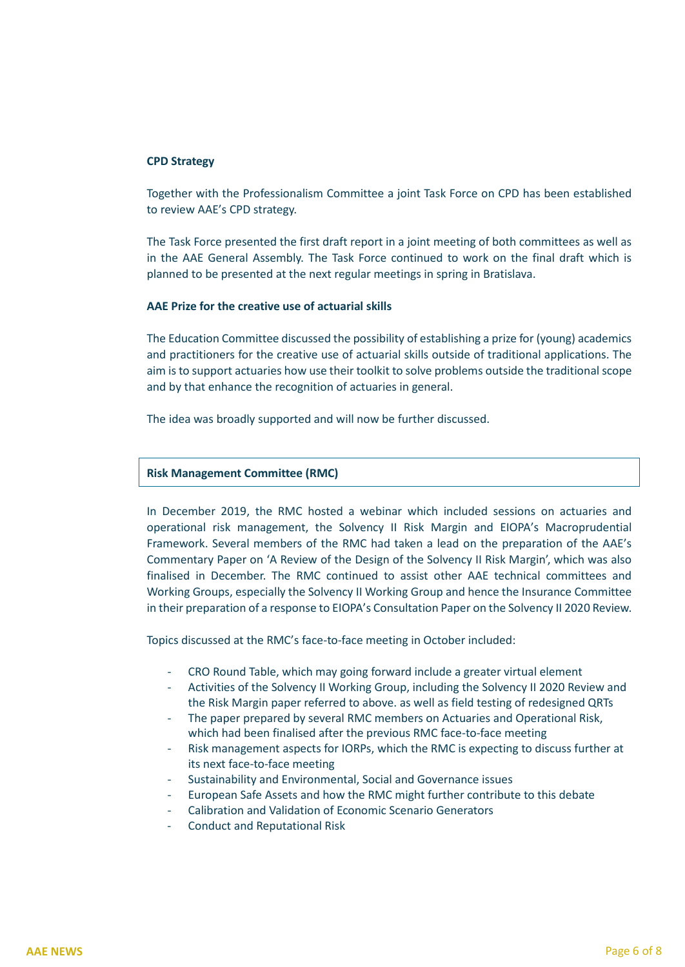#### **CPD Strategy**

Together with the Professionalism Committee a joint Task Force on CPD has been established to review AAE's CPD strategy.

The Task Force presented the first draft report in a joint meeting of both committees as well as in the AAE General Assembly. The Task Force continued to work on the final draft which is planned to be presented at the next regular meetings in spring in Bratislava.

#### **AAE Prize for the creative use of actuarial skills**

The Education Committee discussed the possibility of establishing a prize for (young) academics and practitioners for the creative use of actuarial skills outside of traditional applications. The aim is to support actuaries how use their toolkit to solve problems outside the traditional scope and by that enhance the recognition of actuaries in general.

The idea was broadly supported and will now be further discussed.

#### **Risk Management Committee (RMC)**

In December 2019, the RMC hosted a webinar which included sessions on actuaries and operational risk management, the Solvency II Risk Margin and EIOPA's Macroprudential Framework. Several members of the RMC had taken a lead on the preparation of the AAE's Commentary Paper on 'A Review of the Design of the Solvency II Risk Margin', which was also finalised in December. The RMC continued to assist other AAE technical committees and Working Groups, especially the Solvency II Working Group and hence the Insurance Committee in their preparation of a response to EIOPA's Consultation Paper on the Solvency II 2020 Review.

Topics discussed at the RMC's face-to-face meeting in October included:

- CRO Round Table, which may going forward include a greater virtual element
- Activities of the Solvency II Working Group, including the Solvency II 2020 Review and the Risk Margin paper referred to above. as well as field testing of redesigned QRTs
- The paper prepared by several RMC members on Actuaries and Operational Risk, which had been finalised after the previous RMC face-to-face meeting
- Risk management aspects for IORPs, which the RMC is expecting to discuss further at its next face-to-face meeting
- Sustainability and Environmental, Social and Governance issues
- European Safe Assets and how the RMC might further contribute to this debate
- Calibration and Validation of Economic Scenario Generators
- Conduct and Reputational Risk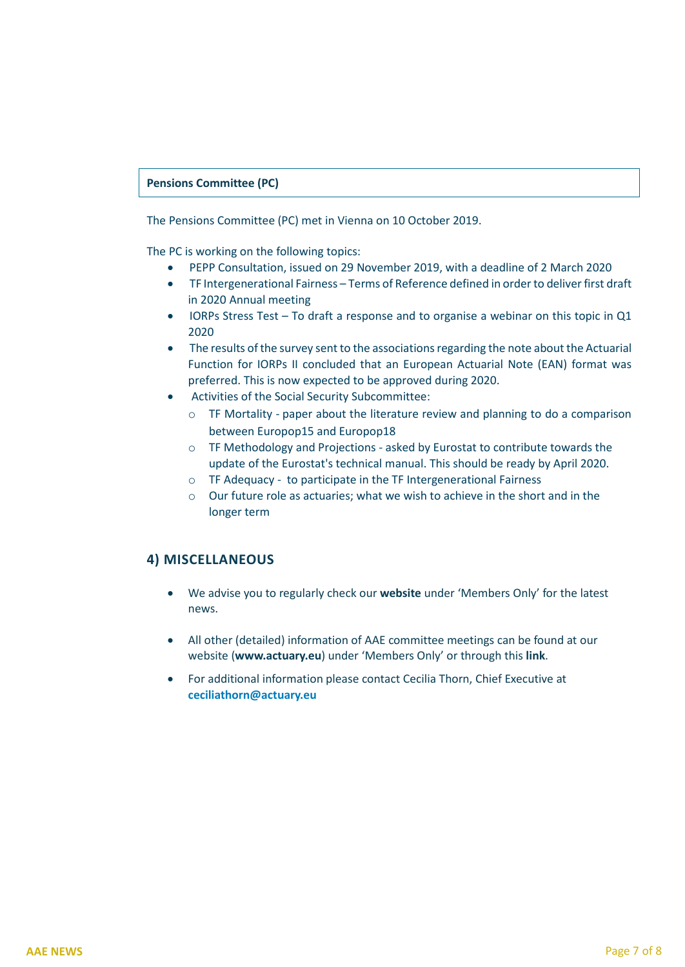# **Pensions Committee (PC)**

The Pensions Committee (PC) met in Vienna on 10 October 2019.

The PC is working on the following topics:

- PEPP Consultation, issued on 29 November 2019, with a deadline of 2 March 2020
- TF Intergenerational Fairness Terms of Reference defined in order to deliver first draft in 2020 Annual meeting
- IORPs Stress Test To draft a response and to organise a webinar on this topic in  $Q1$ 2020
- The results of the survey sent to the associations regarding the note about the Actuarial Function for IORPs II concluded that an European Actuarial Note (EAN) format was preferred. This is now expected to be approved during 2020.
- Activities of the Social Security Subcommittee:
	- $\circ$  TF Mortality paper about the literature review and planning to do a comparison between Europop15 and Europop18
	- o TF Methodology and Projections asked by Eurostat to contribute towards the update of the Eurostat's technical manual. This should be ready by April 2020.
	- o TF Adequacy to participate in the TF Intergenerational Fairness
	- $\circ$  Our future role as actuaries; what we wish to achieve in the short and in the longer term

# **4) MISCELLANEOUS**

- We advise you to regularly check our **[website](https://actuary.eu/)** under 'Members Only' for the latest news.
- All other (detailed) information of AAE committee meetings can be found at our website (**[www.actuary.eu](http://www.actuary.eu/)**) under 'Members Only' or through this **[link](https://actuary.eu/community/commitees/)**.
- For additional information please contact Cecilia Thorn, Chief Executive at **[ceciliathorn@actuary.eu](mailto:ceciliathorn@actuary.eu)**